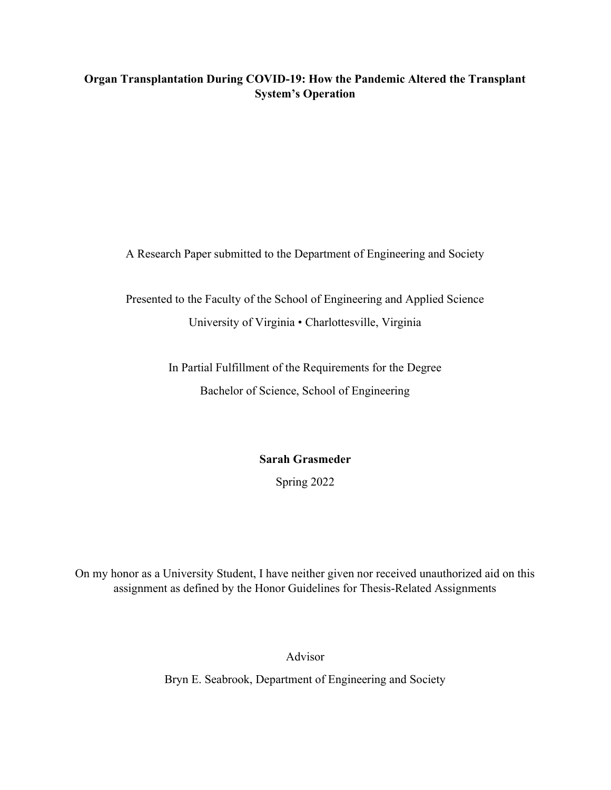# Organ Transplantation During COVID-19: How the Pandemic Altered the Transplant System's Operation

A Research Paper submitted to the Department of Engineering and Society

Presented to the Faculty of the School of Engineering and Applied Science University of Virginia • Charlottesville, Virginia

> In Partial Fulfillment of the Requirements for the Degree Bachelor of Science, School of Engineering

> > Sarah Grasmeder

Spring 2022

On my honor as a University Student, I have neither given nor received unauthorized aid on this assignment as defined by the Honor Guidelines for Thesis-Related Assignments

Advisor

Bryn E. Seabrook, Department of Engineering and Society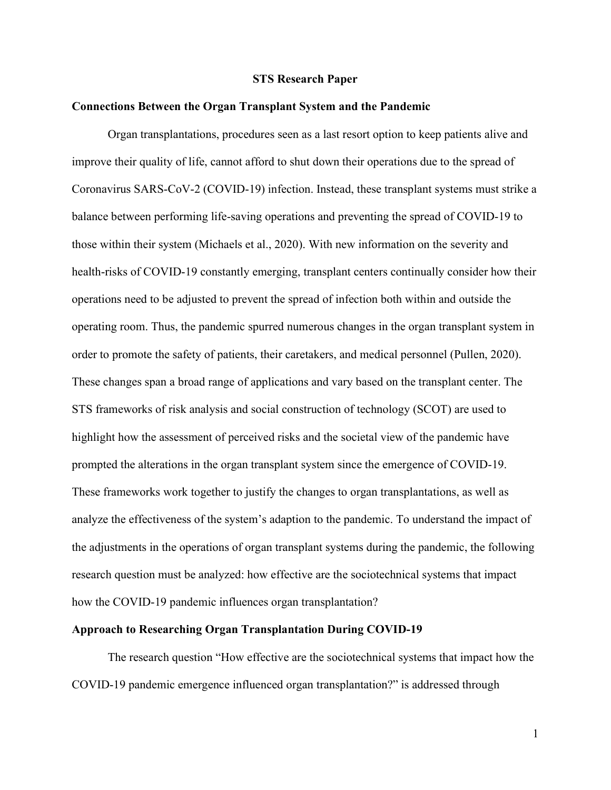#### STS Research Paper

### Connections Between the Organ Transplant System and the Pandemic

Organ transplantations, procedures seen as a last resort option to keep patients alive and improve their quality of life, cannot afford to shut down their operations due to the spread of Coronavirus SARS-CoV-2 (COVID-19) infection. Instead, these transplant systems must strike a balance between performing life-saving operations and preventing the spread of COVID-19 to those within their system (Michaels et al., 2020). With new information on the severity and health-risks of COVID-19 constantly emerging, transplant centers continually consider how their operations need to be adjusted to prevent the spread of infection both within and outside the operating room. Thus, the pandemic spurred numerous changes in the organ transplant system in order to promote the safety of patients, their caretakers, and medical personnel (Pullen, 2020). These changes span a broad range of applications and vary based on the transplant center. The STS frameworks of risk analysis and social construction of technology (SCOT) are used to highlight how the assessment of perceived risks and the societal view of the pandemic have prompted the alterations in the organ transplant system since the emergence of COVID-19. These frameworks work together to justify the changes to organ transplantations, as well as analyze the effectiveness of the system's adaption to the pandemic. To understand the impact of the adjustments in the operations of organ transplant systems during the pandemic, the following research question must be analyzed: how effective are the sociotechnical systems that impact how the COVID-19 pandemic influences organ transplantation?

#### Approach to Researching Organ Transplantation During COVID-19

The research question "How effective are the sociotechnical systems that impact how the COVID-19 pandemic emergence influenced organ transplantation?" is addressed through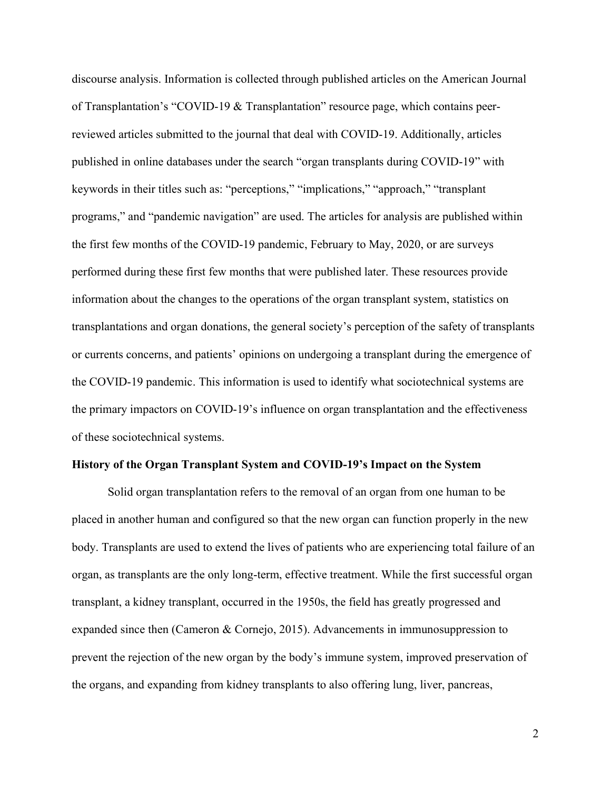discourse analysis. Information is collected through published articles on the American Journal of Transplantation's "COVID-19 & Transplantation" resource page, which contains peerreviewed articles submitted to the journal that deal with COVID-19. Additionally, articles published in online databases under the search "organ transplants during COVID-19" with keywords in their titles such as: "perceptions," "implications," "approach," "transplant programs," and "pandemic navigation" are used. The articles for analysis are published within the first few months of the COVID-19 pandemic, February to May, 2020, or are surveys performed during these first few months that were published later. These resources provide information about the changes to the operations of the organ transplant system, statistics on transplantations and organ donations, the general society's perception of the safety of transplants or currents concerns, and patients' opinions on undergoing a transplant during the emergence of the COVID-19 pandemic. This information is used to identify what sociotechnical systems are the primary impactors on COVID-19's influence on organ transplantation and the effectiveness of these sociotechnical systems.

### History of the Organ Transplant System and COVID-19's Impact on the System

Solid organ transplantation refers to the removal of an organ from one human to be placed in another human and configured so that the new organ can function properly in the new body. Transplants are used to extend the lives of patients who are experiencing total failure of an organ, as transplants are the only long-term, effective treatment. While the first successful organ transplant, a kidney transplant, occurred in the 1950s, the field has greatly progressed and expanded since then (Cameron & Cornejo, 2015). Advancements in immunosuppression to prevent the rejection of the new organ by the body's immune system, improved preservation of the organs, and expanding from kidney transplants to also offering lung, liver, pancreas,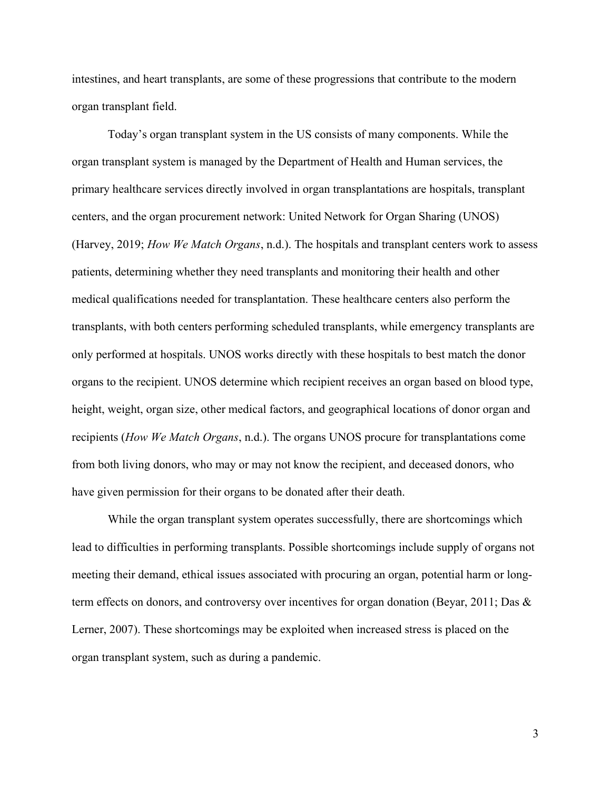intestines, and heart transplants, are some of these progressions that contribute to the modern organ transplant field.

Today's organ transplant system in the US consists of many components. While the organ transplant system is managed by the Department of Health and Human services, the primary healthcare services directly involved in organ transplantations are hospitals, transplant centers, and the organ procurement network: United Network for Organ Sharing (UNOS) (Harvey, 2019; How We Match Organs, n.d.). The hospitals and transplant centers work to assess patients, determining whether they need transplants and monitoring their health and other medical qualifications needed for transplantation. These healthcare centers also perform the transplants, with both centers performing scheduled transplants, while emergency transplants are only performed at hospitals. UNOS works directly with these hospitals to best match the donor organs to the recipient. UNOS determine which recipient receives an organ based on blood type, height, weight, organ size, other medical factors, and geographical locations of donor organ and recipients (How We Match Organs, n.d.). The organs UNOS procure for transplantations come from both living donors, who may or may not know the recipient, and deceased donors, who have given permission for their organs to be donated after their death.

While the organ transplant system operates successfully, there are shortcomings which lead to difficulties in performing transplants. Possible shortcomings include supply of organs not meeting their demand, ethical issues associated with procuring an organ, potential harm or longterm effects on donors, and controversy over incentives for organ donation (Beyar, 2011; Das & Lerner, 2007). These shortcomings may be exploited when increased stress is placed on the organ transplant system, such as during a pandemic.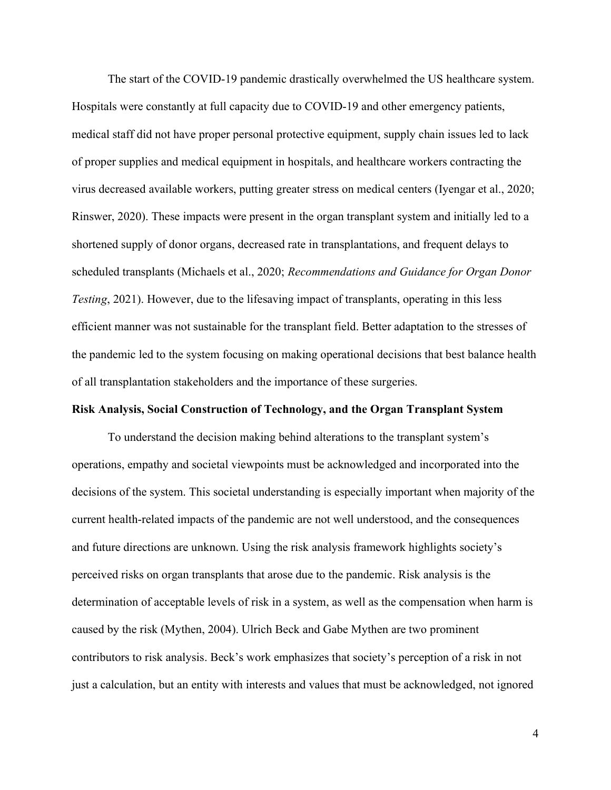The start of the COVID-19 pandemic drastically overwhelmed the US healthcare system. Hospitals were constantly at full capacity due to COVID-19 and other emergency patients, medical staff did not have proper personal protective equipment, supply chain issues led to lack of proper supplies and medical equipment in hospitals, and healthcare workers contracting the virus decreased available workers, putting greater stress on medical centers (Iyengar et al., 2020; Rinswer, 2020). These impacts were present in the organ transplant system and initially led to a shortened supply of donor organs, decreased rate in transplantations, and frequent delays to scheduled transplants (Michaels et al., 2020; Recommendations and Guidance for Organ Donor Testing, 2021). However, due to the lifesaving impact of transplants, operating in this less efficient manner was not sustainable for the transplant field. Better adaptation to the stresses of the pandemic led to the system focusing on making operational decisions that best balance health of all transplantation stakeholders and the importance of these surgeries.

### Risk Analysis, Social Construction of Technology, and the Organ Transplant System

To understand the decision making behind alterations to the transplant system's operations, empathy and societal viewpoints must be acknowledged and incorporated into the decisions of the system. This societal understanding is especially important when majority of the current health-related impacts of the pandemic are not well understood, and the consequences and future directions are unknown. Using the risk analysis framework highlights society's perceived risks on organ transplants that arose due to the pandemic. Risk analysis is the determination of acceptable levels of risk in a system, as well as the compensation when harm is caused by the risk (Mythen, 2004). Ulrich Beck and Gabe Mythen are two prominent contributors to risk analysis. Beck's work emphasizes that society's perception of a risk in not just a calculation, but an entity with interests and values that must be acknowledged, not ignored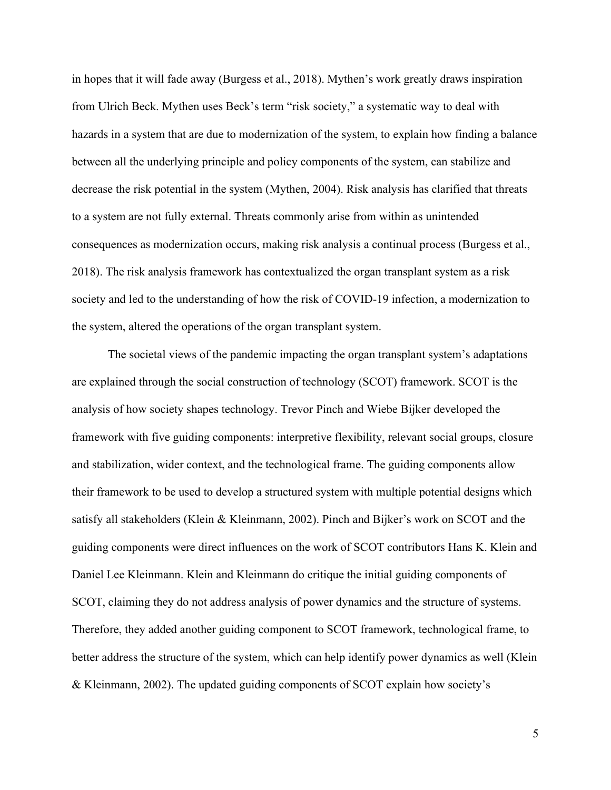in hopes that it will fade away (Burgess et al., 2018). Mythen's work greatly draws inspiration from Ulrich Beck. Mythen uses Beck's term "risk society," a systematic way to deal with hazards in a system that are due to modernization of the system, to explain how finding a balance between all the underlying principle and policy components of the system, can stabilize and decrease the risk potential in the system (Mythen, 2004). Risk analysis has clarified that threats to a system are not fully external. Threats commonly arise from within as unintended consequences as modernization occurs, making risk analysis a continual process (Burgess et al., 2018). The risk analysis framework has contextualized the organ transplant system as a risk society and led to the understanding of how the risk of COVID-19 infection, a modernization to the system, altered the operations of the organ transplant system.

The societal views of the pandemic impacting the organ transplant system's adaptations are explained through the social construction of technology (SCOT) framework. SCOT is the analysis of how society shapes technology. Trevor Pinch and Wiebe Bijker developed the framework with five guiding components: interpretive flexibility, relevant social groups, closure and stabilization, wider context, and the technological frame. The guiding components allow their framework to be used to develop a structured system with multiple potential designs which satisfy all stakeholders (Klein & Kleinmann, 2002). Pinch and Bijker's work on SCOT and the guiding components were direct influences on the work of SCOT contributors Hans K. Klein and Daniel Lee Kleinmann. Klein and Kleinmann do critique the initial guiding components of SCOT, claiming they do not address analysis of power dynamics and the structure of systems. Therefore, they added another guiding component to SCOT framework, technological frame, to better address the structure of the system, which can help identify power dynamics as well (Klein & Kleinmann, 2002). The updated guiding components of SCOT explain how society's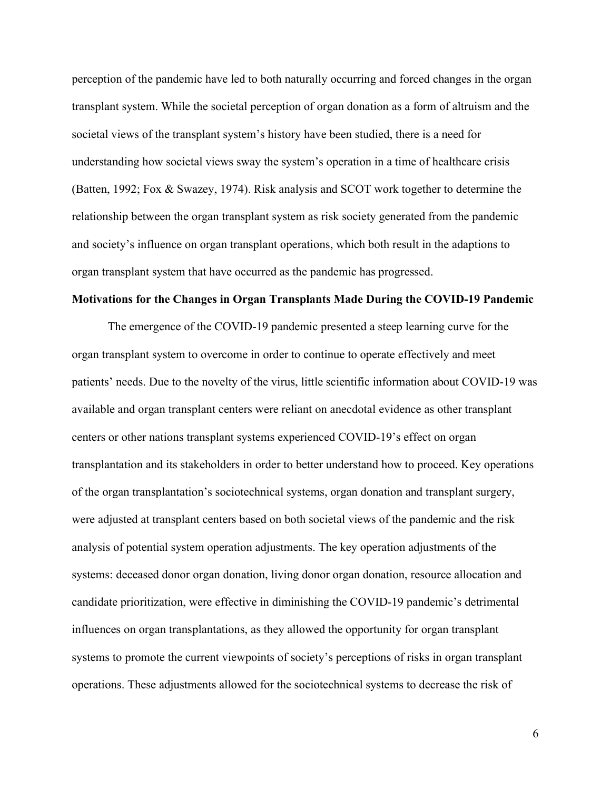perception of the pandemic have led to both naturally occurring and forced changes in the organ transplant system. While the societal perception of organ donation as a form of altruism and the societal views of the transplant system's history have been studied, there is a need for understanding how societal views sway the system's operation in a time of healthcare crisis (Batten, 1992; Fox & Swazey, 1974). Risk analysis and SCOT work together to determine the relationship between the organ transplant system as risk society generated from the pandemic and society's influence on organ transplant operations, which both result in the adaptions to organ transplant system that have occurred as the pandemic has progressed.

#### Motivations for the Changes in Organ Transplants Made During the COVID-19 Pandemic

 The emergence of the COVID-19 pandemic presented a steep learning curve for the organ transplant system to overcome in order to continue to operate effectively and meet patients' needs. Due to the novelty of the virus, little scientific information about COVID-19 was available and organ transplant centers were reliant on anecdotal evidence as other transplant centers or other nations transplant systems experienced COVID-19's effect on organ transplantation and its stakeholders in order to better understand how to proceed. Key operations of the organ transplantation's sociotechnical systems, organ donation and transplant surgery, were adjusted at transplant centers based on both societal views of the pandemic and the risk analysis of potential system operation adjustments. The key operation adjustments of the systems: deceased donor organ donation, living donor organ donation, resource allocation and candidate prioritization, were effective in diminishing the COVID-19 pandemic's detrimental influences on organ transplantations, as they allowed the opportunity for organ transplant systems to promote the current viewpoints of society's perceptions of risks in organ transplant operations. These adjustments allowed for the sociotechnical systems to decrease the risk of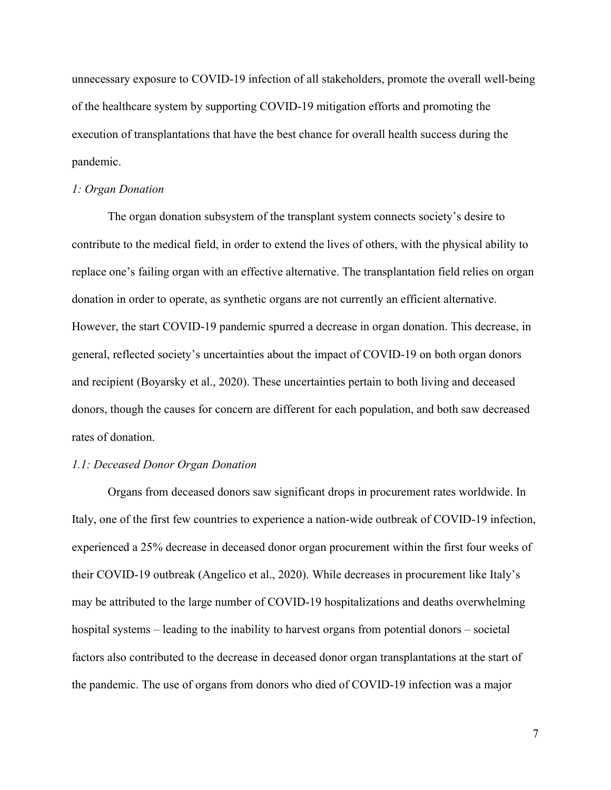unnecessary exposure to COVID-19 infection of all stakeholders, promote the overall well-being of the healthcare system by supporting COVID-19 mitigation efforts and promoting the execution of transplantations that have the best chance for overall health success during the pandemic.

#### 1: Organ Donation

The organ donation subsystem of the transplant system connects society's desire to contribute to the medical field, in order to extend the lives of others, with the physical ability to replace one's failing organ with an effective alternative. The transplantation field relies on organ donation in order to operate, as synthetic organs are not currently an efficient alternative. However, the start COVID-19 pandemic spurred a decrease in organ donation. This decrease, in general, reflected society's uncertainties about the impact of COVID-19 on both organ donors and recipient (Boyarsky et al., 2020). These uncertainties pertain to both living and deceased donors, though the causes for concern are different for each population, and both saw decreased rates of donation.

#### 1.1: Deceased Donor Organ Donation

 Organs from deceased donors saw significant drops in procurement rates worldwide. In Italy, one of the first few countries to experience a nation-wide outbreak of COVID-19 infection, experienced a 25% decrease in deceased donor organ procurement within the first four weeks of their COVID-19 outbreak (Angelico et al., 2020). While decreases in procurement like Italy's may be attributed to the large number of COVID-19 hospitalizations and deaths overwhelming hospital systems – leading to the inability to harvest organs from potential donors – societal factors also contributed to the decrease in deceased donor organ transplantations at the start of the pandemic. The use of organs from donors who died of COVID-19 infection was a major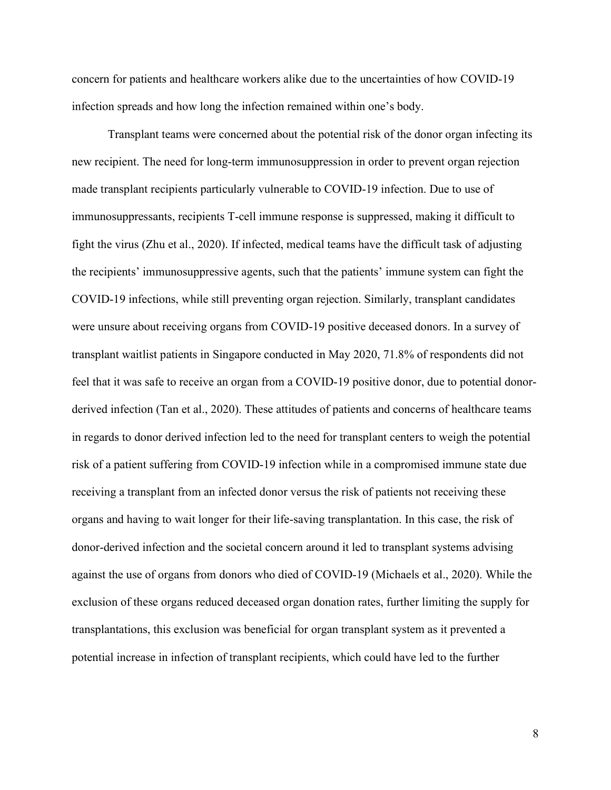concern for patients and healthcare workers alike due to the uncertainties of how COVID-19 infection spreads and how long the infection remained within one's body.

Transplant teams were concerned about the potential risk of the donor organ infecting its new recipient. The need for long-term immunosuppression in order to prevent organ rejection made transplant recipients particularly vulnerable to COVID-19 infection. Due to use of immunosuppressants, recipients T-cell immune response is suppressed, making it difficult to fight the virus (Zhu et al., 2020). If infected, medical teams have the difficult task of adjusting the recipients' immunosuppressive agents, such that the patients' immune system can fight the COVID-19 infections, while still preventing organ rejection. Similarly, transplant candidates were unsure about receiving organs from COVID-19 positive deceased donors. In a survey of transplant waitlist patients in Singapore conducted in May 2020, 71.8% of respondents did not feel that it was safe to receive an organ from a COVID-19 positive donor, due to potential donorderived infection (Tan et al., 2020). These attitudes of patients and concerns of healthcare teams in regards to donor derived infection led to the need for transplant centers to weigh the potential risk of a patient suffering from COVID-19 infection while in a compromised immune state due receiving a transplant from an infected donor versus the risk of patients not receiving these organs and having to wait longer for their life-saving transplantation. In this case, the risk of donor-derived infection and the societal concern around it led to transplant systems advising against the use of organs from donors who died of COVID-19 (Michaels et al., 2020). While the exclusion of these organs reduced deceased organ donation rates, further limiting the supply for transplantations, this exclusion was beneficial for organ transplant system as it prevented a potential increase in infection of transplant recipients, which could have led to the further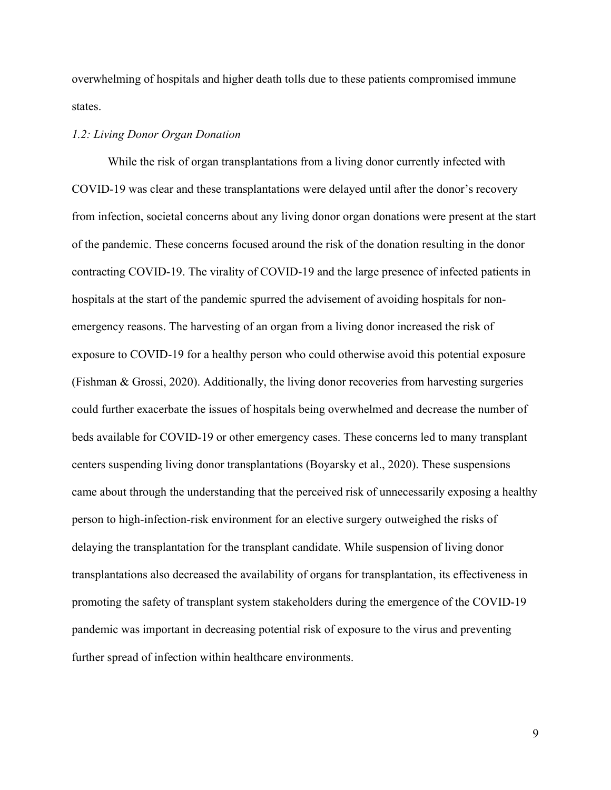overwhelming of hospitals and higher death tolls due to these patients compromised immune states.

# 1.2: Living Donor Organ Donation

 While the risk of organ transplantations from a living donor currently infected with COVID-19 was clear and these transplantations were delayed until after the donor's recovery from infection, societal concerns about any living donor organ donations were present at the start of the pandemic. These concerns focused around the risk of the donation resulting in the donor contracting COVID-19. The virality of COVID-19 and the large presence of infected patients in hospitals at the start of the pandemic spurred the advisement of avoiding hospitals for nonemergency reasons. The harvesting of an organ from a living donor increased the risk of exposure to COVID-19 for a healthy person who could otherwise avoid this potential exposure (Fishman & Grossi, 2020). Additionally, the living donor recoveries from harvesting surgeries could further exacerbate the issues of hospitals being overwhelmed and decrease the number of beds available for COVID-19 or other emergency cases. These concerns led to many transplant centers suspending living donor transplantations (Boyarsky et al., 2020). These suspensions came about through the understanding that the perceived risk of unnecessarily exposing a healthy person to high-infection-risk environment for an elective surgery outweighed the risks of delaying the transplantation for the transplant candidate. While suspension of living donor transplantations also decreased the availability of organs for transplantation, its effectiveness in promoting the safety of transplant system stakeholders during the emergence of the COVID-19 pandemic was important in decreasing potential risk of exposure to the virus and preventing further spread of infection within healthcare environments.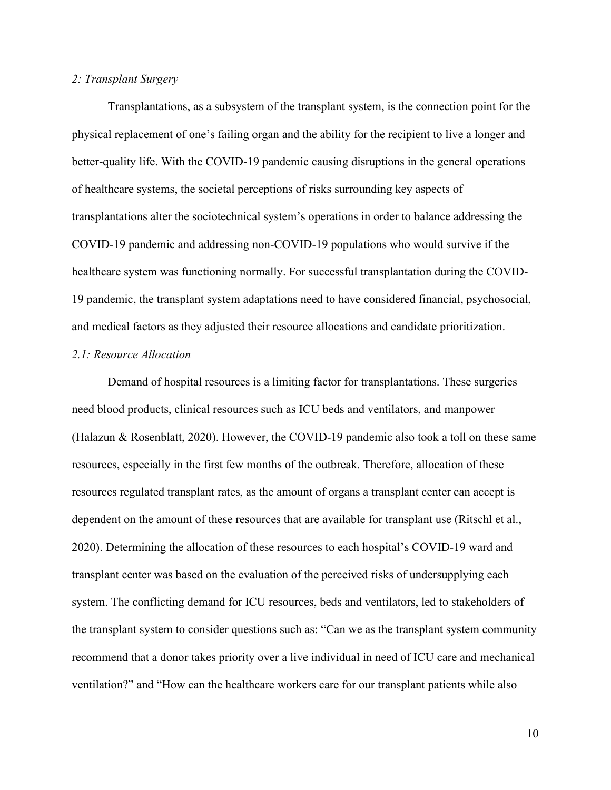# 2: Transplant Surgery

 Transplantations, as a subsystem of the transplant system, is the connection point for the physical replacement of one's failing organ and the ability for the recipient to live a longer and better-quality life. With the COVID-19 pandemic causing disruptions in the general operations of healthcare systems, the societal perceptions of risks surrounding key aspects of transplantations alter the sociotechnical system's operations in order to balance addressing the COVID-19 pandemic and addressing non-COVID-19 populations who would survive if the healthcare system was functioning normally. For successful transplantation during the COVID-19 pandemic, the transplant system adaptations need to have considered financial, psychosocial, and medical factors as they adjusted their resource allocations and candidate prioritization.

### 2.1: Resource Allocation

 Demand of hospital resources is a limiting factor for transplantations. These surgeries need blood products, clinical resources such as ICU beds and ventilators, and manpower (Halazun & Rosenblatt, 2020). However, the COVID-19 pandemic also took a toll on these same resources, especially in the first few months of the outbreak. Therefore, allocation of these resources regulated transplant rates, as the amount of organs a transplant center can accept is dependent on the amount of these resources that are available for transplant use (Ritschl et al., 2020). Determining the allocation of these resources to each hospital's COVID-19 ward and transplant center was based on the evaluation of the perceived risks of undersupplying each system. The conflicting demand for ICU resources, beds and ventilators, led to stakeholders of the transplant system to consider questions such as: "Can we as the transplant system community recommend that a donor takes priority over a live individual in need of ICU care and mechanical ventilation?" and "How can the healthcare workers care for our transplant patients while also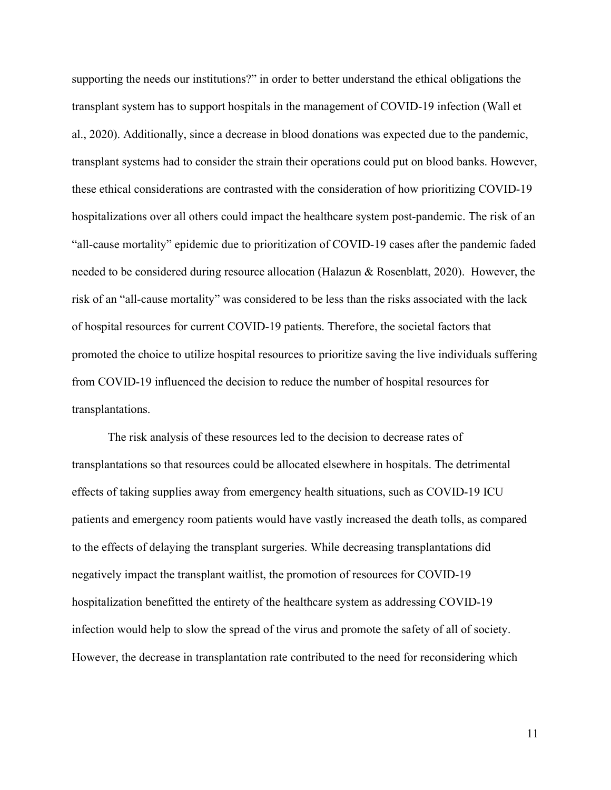supporting the needs our institutions?" in order to better understand the ethical obligations the transplant system has to support hospitals in the management of COVID-19 infection (Wall et al., 2020). Additionally, since a decrease in blood donations was expected due to the pandemic, transplant systems had to consider the strain their operations could put on blood banks. However, these ethical considerations are contrasted with the consideration of how prioritizing COVID-19 hospitalizations over all others could impact the healthcare system post-pandemic. The risk of an "all-cause mortality" epidemic due to prioritization of COVID-19 cases after the pandemic faded needed to be considered during resource allocation (Halazun & Rosenblatt, 2020). However, the risk of an "all-cause mortality" was considered to be less than the risks associated with the lack of hospital resources for current COVID-19 patients. Therefore, the societal factors that promoted the choice to utilize hospital resources to prioritize saving the live individuals suffering from COVID-19 influenced the decision to reduce the number of hospital resources for transplantations.

The risk analysis of these resources led to the decision to decrease rates of transplantations so that resources could be allocated elsewhere in hospitals. The detrimental effects of taking supplies away from emergency health situations, such as COVID-19 ICU patients and emergency room patients would have vastly increased the death tolls, as compared to the effects of delaying the transplant surgeries. While decreasing transplantations did negatively impact the transplant waitlist, the promotion of resources for COVID-19 hospitalization benefitted the entirety of the healthcare system as addressing COVID-19 infection would help to slow the spread of the virus and promote the safety of all of society. However, the decrease in transplantation rate contributed to the need for reconsidering which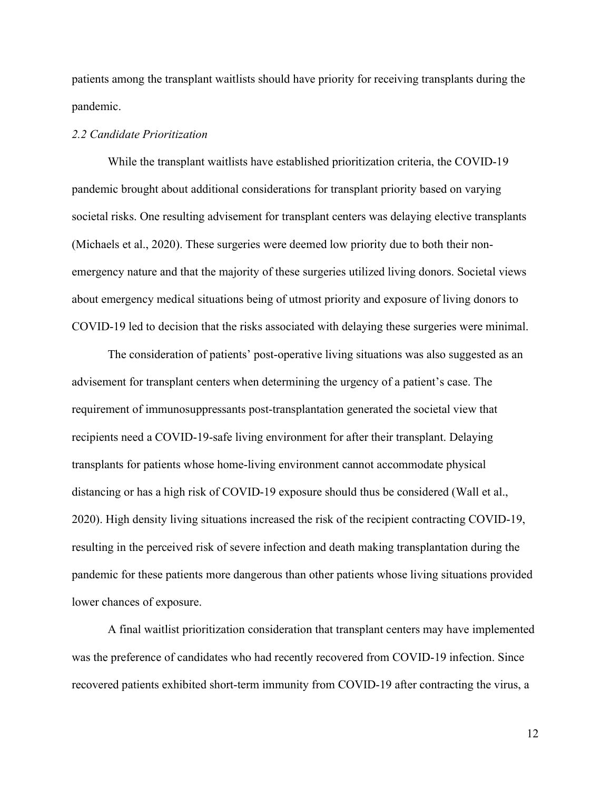patients among the transplant waitlists should have priority for receiving transplants during the pandemic.

### 2.2 Candidate Prioritization

 While the transplant waitlists have established prioritization criteria, the COVID-19 pandemic brought about additional considerations for transplant priority based on varying societal risks. One resulting advisement for transplant centers was delaying elective transplants (Michaels et al., 2020). These surgeries were deemed low priority due to both their nonemergency nature and that the majority of these surgeries utilized living donors. Societal views about emergency medical situations being of utmost priority and exposure of living donors to COVID-19 led to decision that the risks associated with delaying these surgeries were minimal.

 The consideration of patients' post-operative living situations was also suggested as an advisement for transplant centers when determining the urgency of a patient's case. The requirement of immunosuppressants post-transplantation generated the societal view that recipients need a COVID-19-safe living environment for after their transplant. Delaying transplants for patients whose home-living environment cannot accommodate physical distancing or has a high risk of COVID-19 exposure should thus be considered (Wall et al., 2020). High density living situations increased the risk of the recipient contracting COVID-19, resulting in the perceived risk of severe infection and death making transplantation during the pandemic for these patients more dangerous than other patients whose living situations provided lower chances of exposure.

 A final waitlist prioritization consideration that transplant centers may have implemented was the preference of candidates who had recently recovered from COVID-19 infection. Since recovered patients exhibited short-term immunity from COVID-19 after contracting the virus, a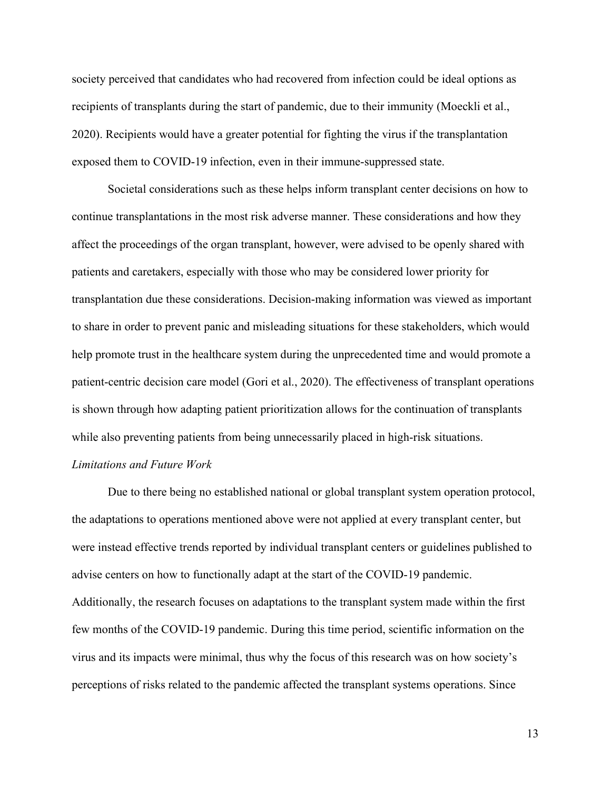society perceived that candidates who had recovered from infection could be ideal options as recipients of transplants during the start of pandemic, due to their immunity (Moeckli et al., 2020). Recipients would have a greater potential for fighting the virus if the transplantation exposed them to COVID-19 infection, even in their immune-suppressed state.

 Societal considerations such as these helps inform transplant center decisions on how to continue transplantations in the most risk adverse manner. These considerations and how they affect the proceedings of the organ transplant, however, were advised to be openly shared with patients and caretakers, especially with those who may be considered lower priority for transplantation due these considerations. Decision-making information was viewed as important to share in order to prevent panic and misleading situations for these stakeholders, which would help promote trust in the healthcare system during the unprecedented time and would promote a patient-centric decision care model (Gori et al., 2020). The effectiveness of transplant operations is shown through how adapting patient prioritization allows for the continuation of transplants while also preventing patients from being unnecessarily placed in high-risk situations.

### Limitations and Future Work

 Due to there being no established national or global transplant system operation protocol, the adaptations to operations mentioned above were not applied at every transplant center, but were instead effective trends reported by individual transplant centers or guidelines published to advise centers on how to functionally adapt at the start of the COVID-19 pandemic. Additionally, the research focuses on adaptations to the transplant system made within the first few months of the COVID-19 pandemic. During this time period, scientific information on the virus and its impacts were minimal, thus why the focus of this research was on how society's perceptions of risks related to the pandemic affected the transplant systems operations. Since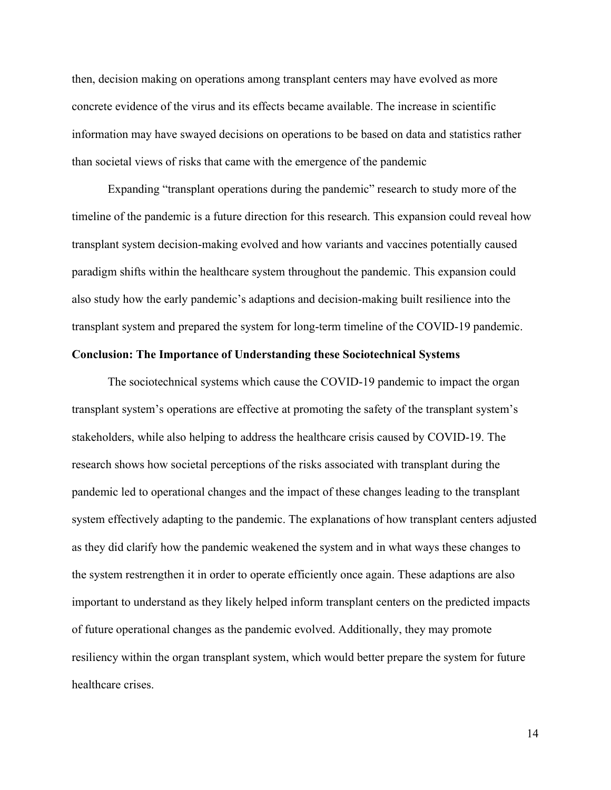then, decision making on operations among transplant centers may have evolved as more concrete evidence of the virus and its effects became available. The increase in scientific information may have swayed decisions on operations to be based on data and statistics rather than societal views of risks that came with the emergence of the pandemic

 Expanding "transplant operations during the pandemic" research to study more of the timeline of the pandemic is a future direction for this research. This expansion could reveal how transplant system decision-making evolved and how variants and vaccines potentially caused paradigm shifts within the healthcare system throughout the pandemic. This expansion could also study how the early pandemic's adaptions and decision-making built resilience into the transplant system and prepared the system for long-term timeline of the COVID-19 pandemic.

# Conclusion: The Importance of Understanding these Sociotechnical Systems

 The sociotechnical systems which cause the COVID-19 pandemic to impact the organ transplant system's operations are effective at promoting the safety of the transplant system's stakeholders, while also helping to address the healthcare crisis caused by COVID-19. The research shows how societal perceptions of the risks associated with transplant during the pandemic led to operational changes and the impact of these changes leading to the transplant system effectively adapting to the pandemic. The explanations of how transplant centers adjusted as they did clarify how the pandemic weakened the system and in what ways these changes to the system restrengthen it in order to operate efficiently once again. These adaptions are also important to understand as they likely helped inform transplant centers on the predicted impacts of future operational changes as the pandemic evolved. Additionally, they may promote resiliency within the organ transplant system, which would better prepare the system for future healthcare crises.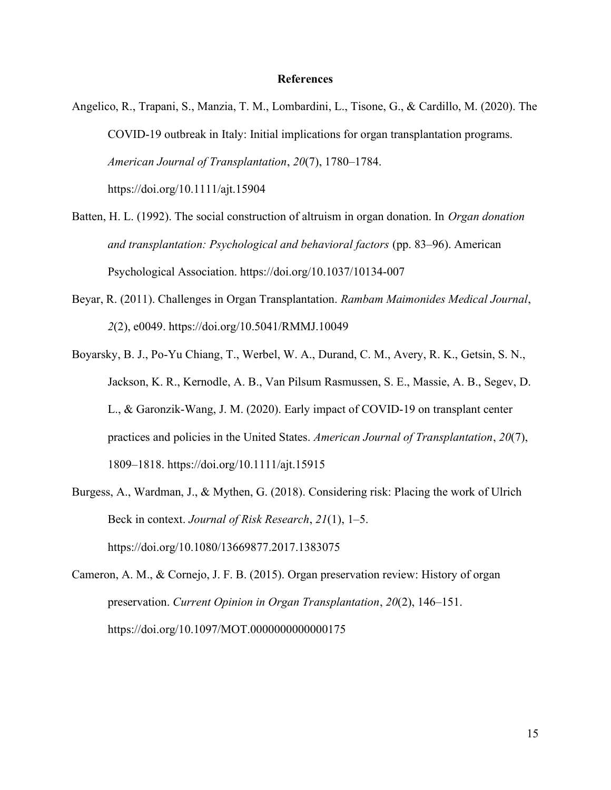### References

Angelico, R., Trapani, S., Manzia, T. M., Lombardini, L., Tisone, G., & Cardillo, M. (2020). The COVID-19 outbreak in Italy: Initial implications for organ transplantation programs. American Journal of Transplantation, 20(7), 1780–1784. https://doi.org/10.1111/ajt.15904

- Batten, H. L. (1992). The social construction of altruism in organ donation. In *Organ donation* and transplantation: Psychological and behavioral factors (pp. 83–96). American Psychological Association. https://doi.org/10.1037/10134-007
- Beyar, R. (2011). Challenges in Organ Transplantation. Rambam Maimonides Medical Journal, 2(2), e0049. https://doi.org/10.5041/RMMJ.10049
- Boyarsky, B. J., Po-Yu Chiang, T., Werbel, W. A., Durand, C. M., Avery, R. K., Getsin, S. N., Jackson, K. R., Kernodle, A. B., Van Pilsum Rasmussen, S. E., Massie, A. B., Segev, D. L., & Garonzik-Wang, J. M. (2020). Early impact of COVID-19 on transplant center practices and policies in the United States. American Journal of Transplantation, 20(7), 1809–1818. https://doi.org/10.1111/ajt.15915
- Burgess, A., Wardman, J., & Mythen, G. (2018). Considering risk: Placing the work of Ulrich Beck in context. Journal of Risk Research, 21(1), 1–5. https://doi.org/10.1080/13669877.2017.1383075
- Cameron, A. M., & Cornejo, J. F. B. (2015). Organ preservation review: History of organ preservation. Current Opinion in Organ Transplantation, 20(2), 146–151. https://doi.org/10.1097/MOT.0000000000000175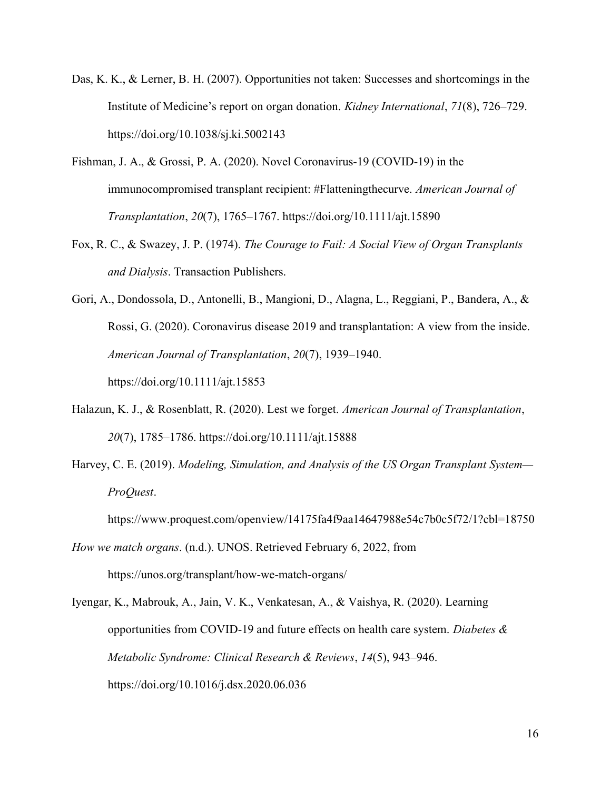- Das, K. K., & Lerner, B. H. (2007). Opportunities not taken: Successes and shortcomings in the Institute of Medicine's report on organ donation. Kidney International, 71(8), 726–729. https://doi.org/10.1038/sj.ki.5002143
- Fishman, J. A., & Grossi, P. A. (2020). Novel Coronavirus-19 (COVID-19) in the immunocompromised transplant recipient: #Flatteningthecurve. American Journal of Transplantation, 20(7), 1765–1767. https://doi.org/10.1111/ajt.15890
- Fox, R. C., & Swazey, J. P. (1974). The Courage to Fail: A Social View of Organ Transplants and Dialysis. Transaction Publishers.
- Gori, A., Dondossola, D., Antonelli, B., Mangioni, D., Alagna, L., Reggiani, P., Bandera, A., & Rossi, G. (2020). Coronavirus disease 2019 and transplantation: A view from the inside. American Journal of Transplantation, 20(7), 1939–1940. https://doi.org/10.1111/ajt.15853
- Halazun, K. J., & Rosenblatt, R. (2020). Lest we forget. American Journal of Transplantation, 20(7), 1785–1786. https://doi.org/10.1111/ajt.15888
- Harvey, C. E. (2019). Modeling, Simulation, and Analysis of the US Organ Transplant System— ProQuest.

https://www.proquest.com/openview/14175fa4f9aa14647988e54c7b0c5f72/1?cbl=18750

How we match organs. (n.d.). UNOS. Retrieved February 6, 2022, from https://unos.org/transplant/how-we-match-organs/

Iyengar, K., Mabrouk, A., Jain, V. K., Venkatesan, A., & Vaishya, R. (2020). Learning opportunities from COVID-19 and future effects on health care system. Diabetes  $\&$ Metabolic Syndrome: Clinical Research & Reviews, 14(5), 943–946. https://doi.org/10.1016/j.dsx.2020.06.036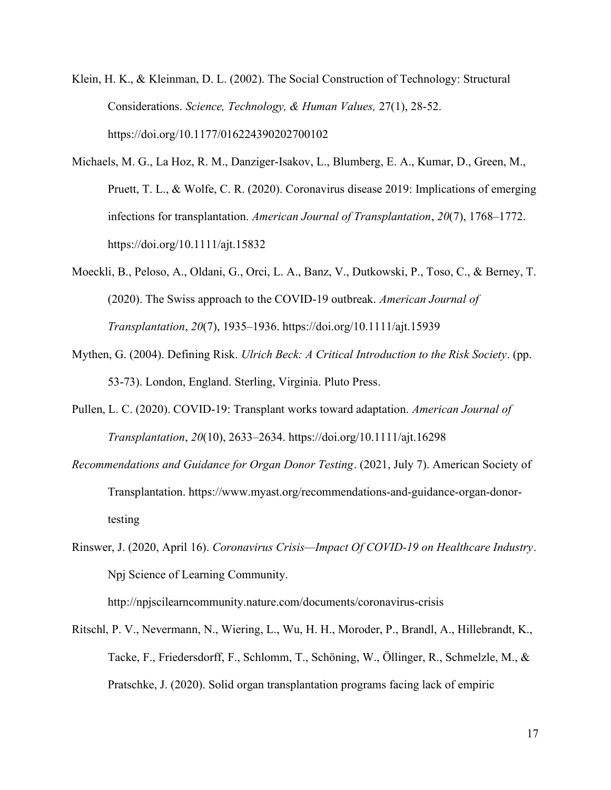- Klein, H. K., & Kleinman, D. L. (2002). The Social Construction of Technology: Structural Considerations. Science, Technology, & Human Values, 27(1), 28-52. https://doi.org/10.1177/016224390202700102
- Michaels, M. G., La Hoz, R. M., Danziger-Isakov, L., Blumberg, E. A., Kumar, D., Green, M., Pruett, T. L., & Wolfe, C. R. (2020). Coronavirus disease 2019: Implications of emerging infections for transplantation. American Journal of Transplantation, 20(7), 1768–1772. https://doi.org/10.1111/ajt.15832
- Moeckli, B., Peloso, A., Oldani, G., Orci, L. A., Banz, V., Dutkowski, P., Toso, C., & Berney, T. (2020). The Swiss approach to the COVID-19 outbreak. American Journal of Transplantation, 20(7), 1935–1936. https://doi.org/10.1111/ajt.15939
- Mythen, G. (2004). Defining Risk. Ulrich Beck: A Critical Introduction to the Risk Society. (pp. 53-73). London, England. Sterling, Virginia. Pluto Press.
- Pullen, L. C. (2020). COVID-19: Transplant works toward adaptation. American Journal of Transplantation, 20(10), 2633–2634. https://doi.org/10.1111/ajt.16298
- Recommendations and Guidance for Organ Donor Testing. (2021, July 7). American Society of Transplantation. https://www.myast.org/recommendations-and-guidance-organ-donortesting
- Rinswer, J. (2020, April 16). Coronavirus Crisis—Impact Of COVID-19 on Healthcare Industry. Npj Science of Learning Community.

http://npjscilearncommunity.nature.com/documents/coronavirus-crisis

Ritschl, P. V., Nevermann, N., Wiering, L., Wu, H. H., Moroder, P., Brandl, A., Hillebrandt, K., Tacke, F., Friedersdorff, F., Schlomm, T., Schöning, W., Öllinger, R., Schmelzle, M., & Pratschke, J. (2020). Solid organ transplantation programs facing lack of empiric